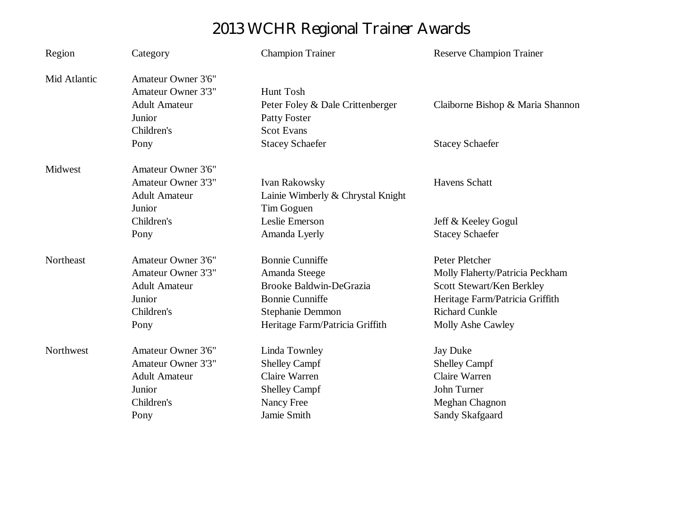## **2013 WCHR Regional Trainer Awards**

| Region       | Category                  | <b>Champion Trainer</b>           | <b>Reserve Champion Trainer</b>  |  |
|--------------|---------------------------|-----------------------------------|----------------------------------|--|
| Mid Atlantic | <b>Amateur Owner 3'6"</b> |                                   |                                  |  |
|              | <b>Amateur Owner 3'3"</b> | Hunt Tosh                         |                                  |  |
|              | <b>Adult Amateur</b>      | Peter Foley & Dale Crittenberger  | Claiborne Bishop & Maria Shannon |  |
|              | Junior                    | <b>Patty Foster</b>               |                                  |  |
|              | Children's                | <b>Scot Evans</b>                 |                                  |  |
|              | Pony                      | <b>Stacey Schaefer</b>            | <b>Stacey Schaefer</b>           |  |
| Midwest      | <b>Amateur Owner 3'6"</b> |                                   |                                  |  |
|              | <b>Amateur Owner 3'3"</b> | <b>Ivan Rakowsky</b>              | <b>Havens Schatt</b>             |  |
|              | <b>Adult Amateur</b>      | Lainie Wimberly & Chrystal Knight |                                  |  |
|              | Junior                    | Tim Goguen                        |                                  |  |
|              | Children's                | Leslie Emerson                    | Jeff & Keeley Gogul              |  |
|              | Pony                      | Amanda Lyerly                     | <b>Stacey Schaefer</b>           |  |
| Northeast    | Amateur Owner 3'6"        | <b>Bonnie Cunniffe</b>            | Peter Pletcher                   |  |
|              | <b>Amateur Owner 3'3"</b> | Amanda Steege                     | Molly Flaherty/Patricia Peckham  |  |
|              | <b>Adult Amateur</b>      | <b>Brooke Baldwin-DeGrazia</b>    | Scott Stewart/Ken Berkley        |  |
|              | Junior                    | <b>Bonnie Cunniffe</b>            | Heritage Farm/Patricia Griffith  |  |
|              | Children's                | Stephanie Demmon                  | <b>Richard Cunkle</b>            |  |
|              | Pony                      | Heritage Farm/Patricia Griffith   | Molly Ashe Cawley                |  |
| Northwest    | <b>Amateur Owner 3'6"</b> | Linda Townley                     | <b>Jay Duke</b>                  |  |
|              | <b>Amateur Owner 3'3"</b> | <b>Shelley Campf</b>              | <b>Shelley Campf</b>             |  |
|              | <b>Adult Amateur</b>      | Claire Warren                     | Claire Warren                    |  |
|              | Junior                    | <b>Shelley Campf</b>              | John Turner                      |  |
|              | Children's                | Nancy Free                        | Meghan Chagnon                   |  |
|              | Pony                      | Jamie Smith                       | Sandy Skafgaard                  |  |